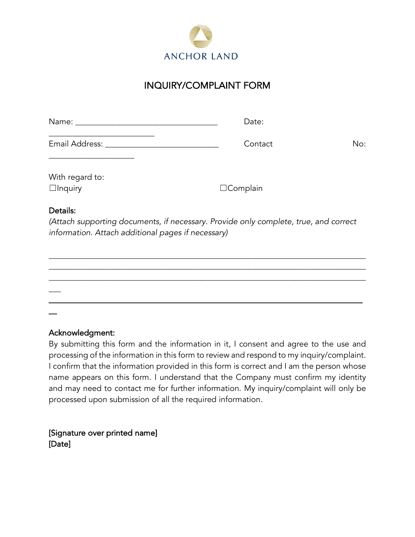

## INQUIRY/COMPLAINT FORM

| Name:                 | Date:   |     |
|-----------------------|---------|-----|
| <b>Email Address:</b> | Contact | No: |

With regard to: ☐Inquiry ☐Complain

\_\_\_\_\_\_\_\_\_\_\_\_\_\_\_\_\_\_\_\_\_

## Details:

*(Attach supporting documents, if necessary. Provide only complete, true, and correct information. Attach additional pages if necessary)*



## Acknowledgment:

By submitting this form and the information in it, I consent and agree to the use and processing of the information in this form to review and respond to my inquiry/complaint. I confirm that the information provided in this form is correct and I am the person whose name appears on this form. I understand that the Company must confirm my identity and may need to contact me for further information. My inquiry/complaint will only be processed upon submission of all the required information.

[Signature over printed name] [Date]